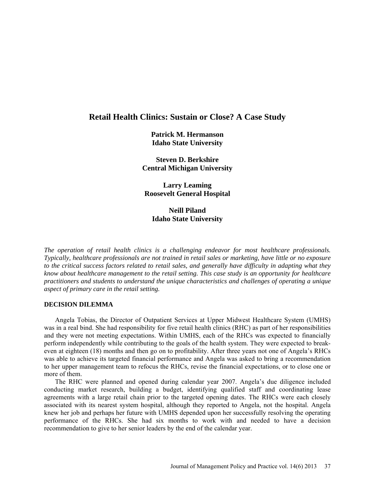# **Retail Health Clinics: Sustain or Close? A Case Study**

**Patrick M. Hermanson Idaho State University**

**Steven D. Berkshire Central Michigan University**

**Larry Leaming Roosevelt General Hospital**

**Neill Piland Idaho State University**

*The operation of retail health clinics is a challenging endeavor for most healthcare professionals. Typically, healthcare professionals are not trained in retail sales or marketing, have little or no exposure to the critical success factors related to retail sales, and generally have difficulty in adapting what they know about healthcare management to the retail setting. This case study is an opportunity for healthcare practitioners and students to understand the unique characteristics and challenges of operating a unique aspect of primary care in the retail setting.*

# **DECISION DILEMMA**

Angela Tobias, the Director of Outpatient Services at Upper Midwest Healthcare System (UMHS) was in a real bind. She had responsibility for five retail health clinics (RHC) as part of her responsibilities and they were not meeting expectations. Within UMHS, each of the RHCs was expected to financially perform independently while contributing to the goals of the health system. They were expected to breakeven at eighteen (18) months and then go on to profitability. After three years not one of Angela's RHCs was able to achieve its targeted financial performance and Angela was asked to bring a recommendation to her upper management team to refocus the RHCs, revise the financial expectations, or to close one or more of them.

The RHC were planned and opened during calendar year 2007. Angela's due diligence included conducting market research, building a budget, identifying qualified staff and coordinating lease agreements with a large retail chain prior to the targeted opening dates. The RHCs were each closely associated with its nearest system hospital, although they reported to Angela, not the hospital. Angela knew her job and perhaps her future with UMHS depended upon her successfully resolving the operating performance of the RHCs. She had six months to work with and needed to have a decision recommendation to give to her senior leaders by the end of the calendar year.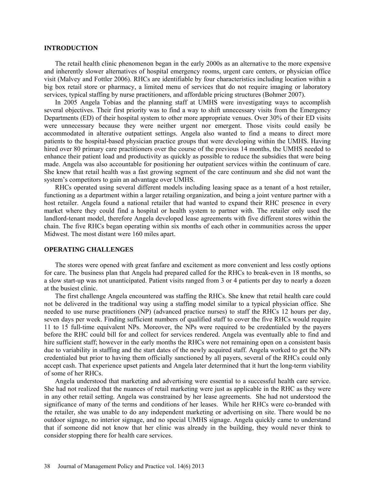#### **INTRODUCTION**

The retail health clinic phenomenon began in the early 2000s as an alternative to the more expensive and inherently slower alternatives of hospital emergency rooms, urgent care centers, or physician office visit (Malvey and Fottler 2006). RHCs are identifiable by four characteristics including location within a big box retail store or pharmacy, a limited menu of services that do not require imaging or laboratory services, typical staffing by nurse practitioners, and affordable pricing structures (Bohmer 2007).

In 2005 Angela Tobias and the planning staff at UMHS were investigating ways to accomplish several objectives. Their first priority was to find a way to shift unnecessary visits from the Emergency Departments (ED) of their hospital system to other more appropriate venues. Over 30% of their ED visits were unnecessary because they were neither urgent nor emergent. Those visits could easily be accommodated in alterative outpatient settings. Angela also wanted to find a means to direct more patients to the hospital-based physician practice groups that were developing within the UMHS. Having hired over 80 primary care practitioners over the course of the previous 14 months, the UMHS needed to enhance their patient load and productivity as quickly as possible to reduce the subsidies that were being made. Angela was also accountable for positioning her outpatient services within the continuum of care. She knew that retail health was a fast growing segment of the care continuum and she did not want the system's competitors to gain an advantage over UMHS.

RHCs operated using several different models including leasing space as a tenant of a host retailer, functioning as a department within a larger retailing organization, and being a joint venture partner with a host retailer. Angela found a national retailer that had wanted to expand their RHC presence in every market where they could find a hospital or health system to partner with. The retailer only used the landlord-tenant model, therefore Angela developed lease agreements with five different stores within the chain. The five RHCs began operating within six months of each other in communities across the upper Midwest. The most distant were 160 miles apart.

# **OPERATING CHALLENGES**

The stores were opened with great fanfare and excitement as more convenient and less costly options for care. The business plan that Angela had prepared called for the RHCs to break-even in 18 months, so a slow start-up was not unanticipated. Patient visits ranged from 3 or 4 patients per day to nearly a dozen at the busiest clinic.

The first challenge Angela encountered was staffing the RHCs. She knew that retail health care could not be delivered in the traditional way using a staffing model similar to a typical physician office. She needed to use nurse practitioners (NP) (advanced practice nurses) to staff the RHCs 12 hours per day, seven days per week. Finding sufficient numbers of qualified staff to cover the five RHCs would require 11 to 15 full-time equivalent NPs. Moreover, the NPs were required to be credentialed by the payers before the RHC could bill for and collect for services rendered. Angela was eventually able to find and hire sufficient staff; however in the early months the RHCs were not remaining open on a consistent basis due to variability in staffing and the start dates of the newly acquired staff. Angela worked to get the NPs credentialed but prior to having them officially sanctioned by all payers, several of the RHCs could only accept cash. That experience upset patients and Angela later determined that it hurt the long-term viability of some of her RHCs.

Angela understood that marketing and advertising were essential to a successful health care service. She had not realized that the nuances of retail marketing were just as applicable in the RHC as they were in any other retail setting. Angela was constrained by her lease agreements. She had not understood the significance of many of the terms and conditions of her leases. While her RHCs were co-branded with the retailer, she was unable to do any independent marketing or advertising on site. There would be no outdoor signage, no interior signage, and no special UMHS signage. Angela quickly came to understand that if someone did not know that her clinic was already in the building, they would never think to consider stopping there for health care services.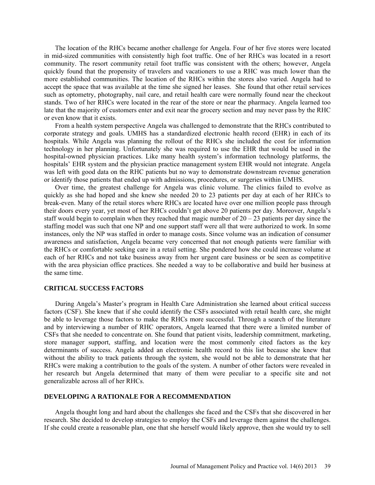The location of the RHCs became another challenge for Angela. Four of her five stores were located in mid-sized communities with consistently high foot traffic. One of her RHCs was located in a resort community. The resort community retail foot traffic was consistent with the others; however, Angela quickly found that the propensity of travelers and vacationers to use a RHC was much lower than the more established communities. The location of the RHCs within the stores also varied. Angela had to accept the space that was available at the time she signed her leases. She found that other retail services such as optometry, photography, nail care, and retail health care were normally found near the checkout stands. Two of her RHCs were located in the rear of the store or near the pharmacy. Angela learned too late that the majority of customers enter and exit near the grocery section and may never pass by the RHC or even know that it exists.

From a health system perspective Angela was challenged to demonstrate that the RHCs contributed to corporate strategy and goals. UMHS has a standardized electronic health record (EHR) in each of its hospitals. While Angela was planning the rollout of the RHCs she included the cost for information technology in her planning. Unfortunately she was required to use the EHR that would be used in the hospital-owned physician practices. Like many health system's information technology platforms, the hospitals' EHR system and the physician practice management system EHR would not integrate. Angela was left with good data on the RHC patients but no way to demonstrate downstream revenue generation or identify those patients that ended up with admissions, procedures, or surgeries within UMHS.

Over time, the greatest challenge for Angela was clinic volume. The clinics failed to evolve as quickly as she had hoped and she knew she needed 20 to 23 patients per day at each of her RHCs to break-even. Many of the retail stores where RHCs are located have over one million people pass through their doors every year, yet most of her RHCs couldn't get above 20 patients per day. Moreover, Angela's staff would begin to complain when they reached that magic number of  $20 - 23$  patients per day since the staffing model was such that one NP and one support staff were all that were authorized to work. In some instances, only the NP was staffed in order to manage costs. Since volume was an indication of consumer awareness and satisfaction, Angela became very concerned that not enough patients were familiar with the RHCs or comfortable seeking care in a retail setting. She pondered how she could increase volume at each of her RHCs and not take business away from her urgent care business or be seen as competitive with the area physician office practices. She needed a way to be collaborative and build her business at the same time.

### **CRITICAL SUCCESS FACTORS**

During Angela's Master's program in Health Care Administration she learned about critical success factors (CSF). She knew that if she could identify the CSFs associated with retail health care, she might be able to leverage those factors to make the RHCs more successful. Through a search of the literature and by interviewing a number of RHC operators, Angela learned that there were a limited number of CSFs that she needed to concentrate on. She found that patient visits, leadership commitment, marketing, store manager support, staffing, and location were the most commonly cited factors as the key determinants of success. Angela added an electronic health record to this list because she knew that without the ability to track patients through the system, she would not be able to demonstrate that her RHCs were making a contribution to the goals of the system. A number of other factors were revealed in her research but Angela determined that many of them were peculiar to a specific site and not generalizable across all of her RHCs.

#### **DEVELOPING A RATIONALE FOR A RECOMMENDATION**

Angela thought long and hard about the challenges she faced and the CSFs that she discovered in her research. She decided to develop strategies to employ the CSFs and leverage them against the challenges. If she could create a reasonable plan, one that she herself would likely approve, then she would try to sell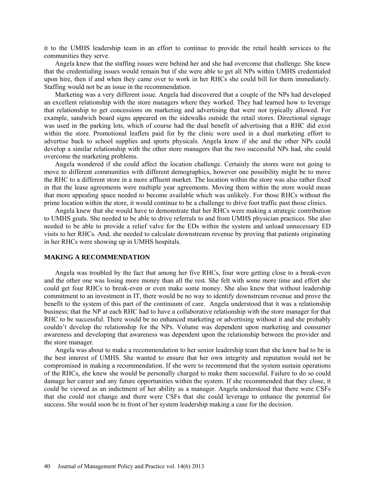it to the UMHS leadership team in an effort to continue to provide the retail health services to the communities they serve.

Angela knew that the staffing issues were behind her and she had overcome that challenge. She knew that the credentialing issues would remain but if she were able to get all NPs within UMHS credentialed upon hire, then if and when they came over to work in her RHCs she could bill for them immediately. Staffing would not be an issue in the recommendation.

Marketing was a very different issue. Angela had discovered that a couple of the NPs had developed an excellent relationship with the store managers where they worked. They had learned how to leverage that relationship to get concessions on marketing and advertising that were not typically allowed. For example, sandwich board signs appeared on the sidewalks outside the retail stores. Directional signage was used in the parking lots, which of course had the dual benefit of advertising that a RHC did exist within the store. Promotional leaflets paid for by the clinic were used in a dual marketing effort to advertise back to school supplies and sports physicals. Angela knew if she and the other NPs could develop a similar relationship with the other store managers that the two successful NPs had, she could overcome the marketing problems.

Angela wondered if she could affect the location challenge. Certainly the stores were not going to move to different communities with different demographics, however one possibility might be to move the RHC to a different store in a more affluent market. The location within the store was also rather fixed in that the lease agreements were multiple year agreements. Moving them within the store would mean that more appealing space needed to become available which was unlikely. For those RHCs without the prime location within the store, it would continue to be a challenge to drive foot traffic past those clinics.

Angela knew that she would have to demonstrate that her RHCs were making a strategic contribution to UMHS goals. She needed to be able to drive referrals to and from UMHS physician practices. She also needed to be able to provide a relief valve for the EDs within the system and unload unnecessary ED visits to her RHCs. And, she needed to calculate downstream revenue by proving that patients originating in her RHCs were showing up in UMHS hospitals.

#### **MAKING A RECOMMENDATION**

Angela was troubled by the fact that among her five RHCs, four were getting close to a break-even and the other one was losing more money than all the rest. She felt with some more time and effort she could get four RHCs to break-even or even make some money. She also knew that without leadership commitment to an investment in IT, there would be no way to identify downstream revenue and prove the benefit to the system of this part of the continuum of care. Angela understood that it was a relationship business; that the NP at each RHC had to have a collaborative relationship with the store manager for that RHC to be successful. There would be no enhanced marketing or advertising without it and she probably couldn't develop the relationship for the NPs. Volume was dependent upon marketing and consumer awareness and developing that awareness was dependent upon the relationship between the provider and the store manager.

Angela was about to make a recommendation to her senior leadership team that she knew had to be in the best interest of UMHS. She wanted to ensure that her own integrity and reputation would not be compromised in making a recommendation. If she were to recommend that the system sustain operations of the RHCs, she knew she would be personally charged to make them successful. Failure to do so could damage her career and any future opportunities within the system. If she recommended that they close, it could be viewed as an indictment of her ability as a manager. Angela understood that there were CSFs that she could not change and there were CSFs that she could leverage to enhance the potential for success. She would soon be in front of her system leadership making a case for the decision.